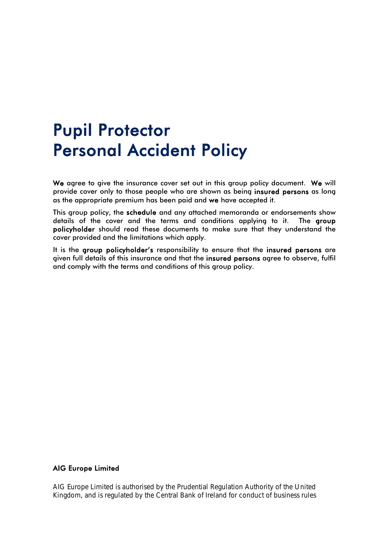# Pupil Protector Personal Accident Policy

We agree to give the insurance cover set out in this group policy document. We will provide cover only to those people who are shown as being insured persons as long as the appropriate premium has been paid and we have accepted it.

This group policy, the schedule and any attached memoranda or endorsements show details of the cover and the terms and conditions applying to it. The group policyholder should read these documents to make sure that they understand the cover provided and the limitations which apply.

It is the group policyholder's responsibility to ensure that the insured persons are given full details of this insurance and that the insured persons agree to observe, fulfil and comply with the terms and conditions of this group policy.

#### AIG Europe Limited

AIG Europe Limited is authorised by the Prudential Regulation Authority of the United Kingdom, and is regulated by the Central Bank of Ireland for conduct of business rules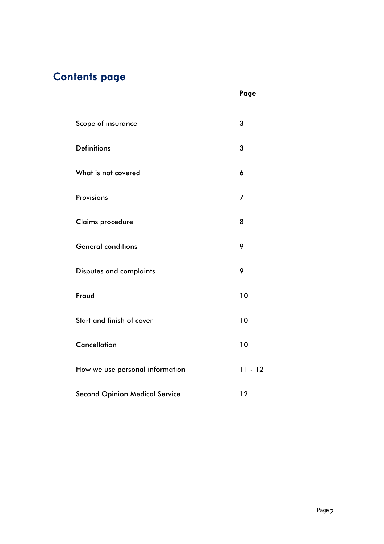# Contents page

|                                       | Page           |
|---------------------------------------|----------------|
| Scope of insurance                    | 3              |
| <b>Definitions</b>                    | 3              |
| What is not covered                   | 6              |
| <b>Provisions</b>                     | $\overline{7}$ |
| Claims procedure                      | 8              |
| <b>General conditions</b>             | 9              |
| Disputes and complaints               | 9              |
| Fraud                                 | 10             |
| Start and finish of cover             | 10             |
| Cancellation                          | 10             |
| How we use personal information       | $11 - 12$      |
| <b>Second Opinion Medical Service</b> | 12             |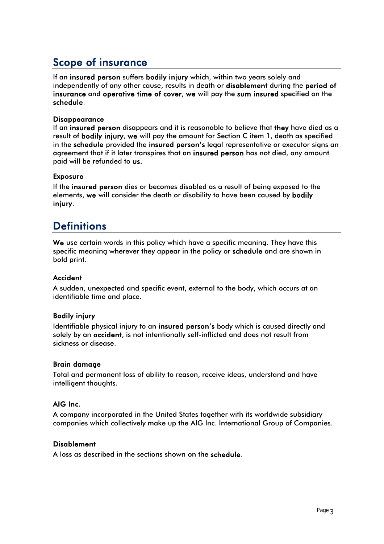# Scope of insurance

If an insured person suffers bodily injury which, within two years solely and independently of any other cause, results in death or disablement during the period of insurance and operative time of cover, we will pay the sum insured specified on the schedule.

#### **Disappearance**

If an insured person disappears and it is reasonable to believe that they have died as a result of bodily injury, we will pay the amount for Section C item 1, death as specified in the schedule provided the insured person's legal representative or executor signs an agreement that if it later transpires that an insured person has not died, any amount paid will be refunded to us.

#### Exposure

If the insured person dies or becomes disabled as a result of being exposed to the elements, we will consider the death or disability to have been caused by bodily injury.

# **Definitions**

We use certain words in this policy which have a specific meaning. They have this specific meaning wherever they appear in the policy or schedule and are shown in bold print.

#### Accident

A sudden, unexpected and specific event, external to the body, which occurs at an identifiable time and place.

#### Bodily injury

Identifiable physical injury to an insured person's body which is caused directly and solely by an accident, is not intentionally self-inflicted and does not result from sickness or disease.

#### Brain damage

Total and permanent loss of ability to reason, receive ideas, understand and have intelligent thoughts.

#### AIG Inc.

A company incorporated in the United States together with its worldwide subsidiary companies which collectively make up the AIG Inc. International Group of Companies.

#### Disablement

A loss as described in the sections shown on the schedule.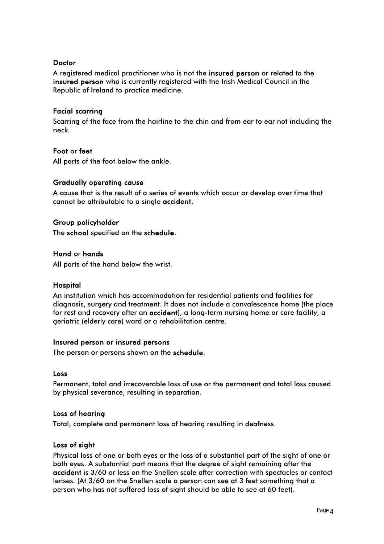#### **Doctor**

A registered medical practitioner who is not the insured person or related to the insured person who is currently registered with the Irish Medical Council in the Republic of Ireland to practice medicine.

#### Facial scarring

Scarring of the face from the hairline to the chin and from ear to ear not including the neck.

#### Foot or feet

All parts of the foot below the ankle.

#### Gradually operating cause

A cause that is the result of a series of events which occur or develop over time that cannot be attributable to a single accident.

#### Group policyholder

The school specified on the schedule.

#### Hand or hands

All parts of the hand below the wrist.

#### **Hospital**

An institution which has accommodation for residential patients and facilities for diagnosis, surgery and treatment. It does not include a convalescence home (the place for rest and recovery after an accident), a long-term nursing home or care facility, a geriatric (elderly care) ward or a rehabilitation centre.

#### Insured person or insured persons

The person or persons shown on the schedule.

#### Loss

Permanent, total and irrecoverable loss of use or the permanent and total loss caused by physical severance, resulting in separation.

#### Loss of hearing

Total, complete and permanent loss of hearing resulting in deafness.

#### Loss of sight

Physical loss of one or both eyes or the loss of a substantial part of the sight of one or both eyes. A substantial part means that the degree of sight remaining after the accident is 3/60 or less on the Snellen scale after correction with spectacles or contact lenses. (At 3/60 on the Snellen scale a person can see at 3 feet something that a person who has not suffered loss of sight should be able to see at 60 feet).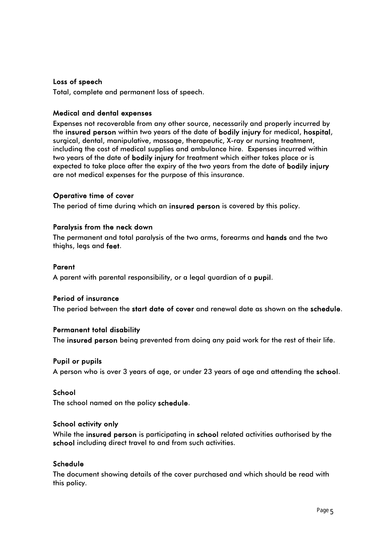#### Loss of speech

Total, complete and permanent loss of speech.

#### Medical and dental expenses

Expenses not recoverable from any other source, necessarily and properly incurred by the insured person within two years of the date of bodily injury for medical, hospital, surgical, dental, manipulative, massage, therapeutic, X-ray or nursing treatment, including the cost of medical supplies and ambulance hire. Expenses incurred within two years of the date of bodily injury for treatment which either takes place or is expected to take place after the expiry of the two years from the date of bodily injury are not medical expenses for the purpose of this insurance.

#### Operative time of cover

The period of time during which an insured person is covered by this policy.

#### Paralysis from the neck down

The permanent and total paralysis of the two arms, forearms and hands and the two thighs, legs and feet.

#### Parent

A parent with parental responsibility, or a legal guardian of a pupil.

#### Period of insurance

The period between the start date of cover and renewal date as shown on the schedule.

#### Permanent total disability

The insured person being prevented from doing any paid work for the rest of their life.

#### Pupil or pupils

A person who is over 3 years of age, or under 23 years of age and attending the school.

#### School

The school named on the policy schedule.

#### School activity only

While the insured person is participating in school related activities authorised by the school including direct travel to and from such activities.

#### Schedule

The document showing details of the cover purchased and which should be read with this policy.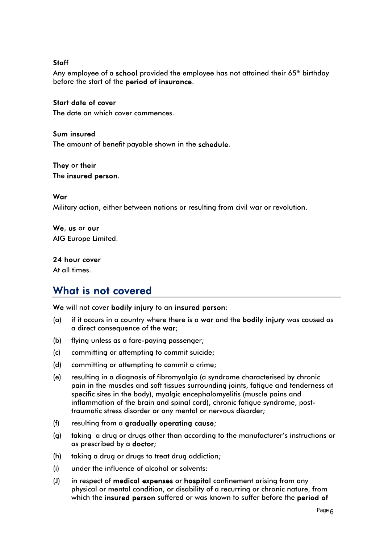#### **Staff**

Any employee of a school provided the employee has not attained their  $65<sup>th</sup>$  birthday before the start of the period of insurance.

Start date of cover The date on which cover commences.

Sum insured The amount of benefit payable shown in the schedule.

They or their The insured person.

War

Military action, either between nations or resulting from civil war or revolution.

We, us or our AIG Europe Limited.

#### 24 hour cover

At all times.

### What is not covered

We will not cover bodily injury to an insured person:

- (a) if it occurs in a country where there is a war and the bodily injury was caused as a direct consequence of the war;
- (b) flying unless as a fare-paying passenger;
- (c) committing or attempting to commit suicide;
- (d) committing or attempting to commit a crime;
- (e) resulting in a diagnosis of fibromyalgia (a syndrome characterised by chronic pain in the muscles and soft tissues surrounding joints, fatigue and tenderness at specific sites in the body), myalgic encephalomyelitis (muscle pains and inflammation of the brain and spinal cord), chronic fatigue syndrome, posttraumatic stress disorder or any mental or nervous disorder;
- (f) resulting from a gradually operating cause;
- (g) taking a drug or drugs other than according to the manufacturer's instructions or as prescribed by a doctor;
- (h) taking a drug or drugs to treat drug addiction;
- (i) under the influence of alcohol or solvents:
- (J) in respect of medical expenses or hospital confinement arising from any physical or mental condition, or disability of a recurring or chronic nature, from which the insured person suffered or was known to suffer before the period of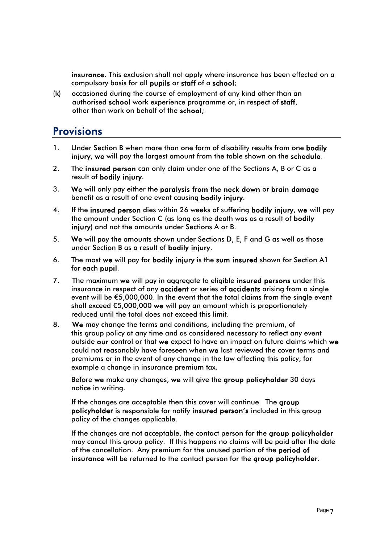insurance. This exclusion shall not apply where insurance has been effected on a compulsory basis for all pupils or staff of a school;

(k) occasioned during the course of employment of any kind other than an authorised school work experience programme or, in respect of staff, other than work on behalf of the school;

### **Provisions**

- 1. Under Section B when more than one form of disability results from one **bodily** injury, we will pay the largest amount from the table shown on the schedule.
- 2. The insured person can only claim under one of the Sections A, B or C as a result of bodily injury.
- 3. We will only pay either the paralysis from the neck down or brain damage benefit as a result of one event causing bodily injury.
- 4. If the insured person dies within 26 weeks of suffering bodily injury, we will pay the amount under Section C (as long as the death was as a result of bodily injury) and not the amounts under Sections A or B.
- 5. We will pay the amounts shown under Sections D, E, F and G as well as those under Section B as a result of bodily injury.
- 6. The most we will pay for bodily injury is the sum insured shown for Section A1 for each pupil.
- 7. The maximum we will pay in aggregate to eligible insured persons under this insurance in respect of any accident or series of accidents arising from a single event will be €5,000,000. In the event that the total claims from the single event shall exceed  $\epsilon$ 5,000,000 we will pay an amount which is proportionately reduced until the total does not exceed this limit.
- 8. We may change the terms and conditions, including the premium, of this group policy at any time and as considered necessary to reflect any event outside our control or that we expect to have an impact on future claims which we could not reasonably have foreseen when we last reviewed the cover terms and premiums or in the event of any change in the law affecting this policy, for example a change in insurance premium tax.

Before we make any changes, we will give the group policyholder 30 days notice in writing.

If the changes are acceptable then this cover will continue. The group policyholder is responsible for notify insured person's included in this group policy of the changes applicable.

If the changes are not acceptable, the contact person for the group policyholder may cancel this group policy. If this happens no claims will be paid after the date of the cancellation. Any premium for the unused portion of the period of insurance will be returned to the contact person for the group policyholder.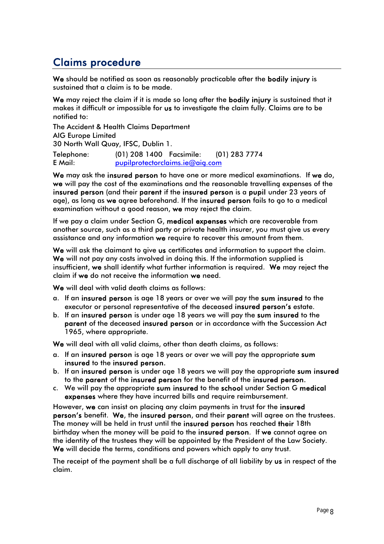# Claims procedure

We should be notified as soon as reasonably practicable after the **bodily injury** is sustained that a claim is to be made.

We may reject the claim if it is made so long after the **bodily injury** is sustained that it makes it difficult or impossible for us to investigate the claim fully. Claims are to be notified to:

The Accident & Health Claims Department AIG Europe Limited 30 North Wall Quay, IFSC, Dublin 1. Telephone: (01) 208 1400 Facsimile: (01) 283 7774 E Mail: pupilprotectorclaims.ie@aig.com

We may ask the insured person to have one or more medical examinations. If we do, we will pay the cost of the examinations and the reasonable travelling expenses of the insured person (and their parent if the insured person is a pupil under 23 years of age), as long as we agree beforehand. If the insured person fails to go to a medical examination without a good reason, we may reject the claim.

If we pay a claim under Section G, medical expenses which are recoverable from another source, such as a third party or private health insurer, you must give us every assistance and any information we require to recover this amount from them.

We will ask the claimant to give us certificates and information to support the claim. We will not pay any costs involved in doing this. If the information supplied is insufficient, we shall identify what further information is required. We may reject the claim if we do not receive the information we need.

We will deal with valid death claims as follows:

- a. If an insured person is age 18 years or over we will pay the sum insured to the executor or personal representative of the deceased insured person's estate.
- b. If an insured person is under age 18 years we will pay the sum insured to the parent of the deceased insured person or in accordance with the Succession Act 1965, where appropriate.

We will deal with all valid claims, other than death claims, as follows:

- a. If an insured person is age 18 years or over we will pay the appropriate sum insured to the insured person.
- b. If an insured person is under age 18 years we will pay the appropriate sum insured to the parent of the insured person for the benefit of the insured person.
- c. We will pay the appropriate sum insured to the school under Section G medical expenses where they have incurred bills and require reimbursement.

However, we can insist on placing any claim payments in trust for the insured person's benefit. We, the insured person, and their parent will agree on the trustees. The money will be held in trust until the insured person has reached their 18th birthday when the money will be paid to the insured person. If we cannot agree on the identity of the trustees they will be appointed by the President of the Law Society. We will decide the terms, conditions and powers which apply to any trust.

The receipt of the payment shall be a full discharge of all liability by us in respect of the claim.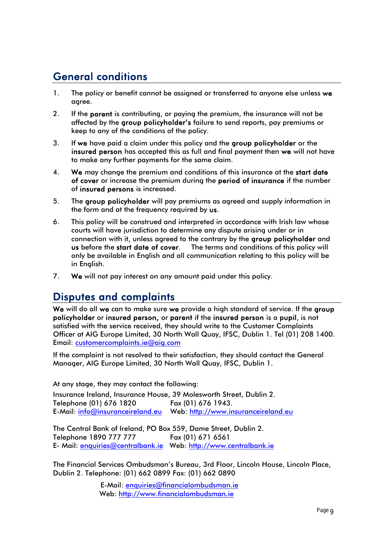# General conditions

- 1. The policy or benefit cannot be assigned or transferred to anyone else unless we agree.
- 2. If the parent is contributing, or paying the premium, the insurance will not be affected by the group policyholder's failure to send reports, pay premiums or keep to any of the conditions of the policy.
- 3. If we have paid a claim under this policy and the group policyholder or the insured person has accepted this as full and final payment then we will not have to make any further payments for the same claim.
- 4. We may change the premium and conditions of this insurance at the start date of cover or increase the premium during the period of insurance if the number of insured persons is increased.
- 5. The group policyholder will pay premiums as agreed and supply information in the form and at the frequency required by us.
- 6. This policy will be construed and interpreted in accordance with Irish law whose courts will have jurisdiction to determine any dispute arising under or in connection with it, unless agreed to the contrary by the group policyholder and us before the start date of cover. The terms and conditions of this policy will only be available in English and all communication relating to this policy will be in English.
- 7. We will not pay interest on any amount paid under this policy.

### Disputes and complaints

We will do all we can to make sure we provide a high standard of service. If the group policyholder or insured person, or parent if the insured person is a pupil, is not satisfied with the service received, they should write to the Customer Complaints Officer at AIG Europe Limited, 30 North Wall Quay, IFSC, Dublin 1. Tel (01) 208 1400. Email: customercomplaints.ie@aig.com

If the complaint is not resolved to their satisfaction, they should contact the General Manager, AIG Europe Limited, 30 North Wall Quay, IFSC, Dublin 1.

At any stage, they may contact the following:

Insurance Ireland, Insurance House, 39 Molesworth Street, Dublin 2. Telephone (01) 676 1820 Fax (01) 676 1943. E-Mail: info@insuranceireland.eu Web: http://www.insuranceireland.eu

The Central Bank of Ireland, PO Box 559, Dame Street, Dublin 2. Telephone 1890 777 777 Fax (01) 671 6561 E- Mail: enquiries@centralbank.ie Web: http://www.centralbank.ie

The Financial Services Ombudsman's Bureau, 3rd Floor, Lincoln House, Lincoln Place, Dublin 2. Telephone: (01) 662 0899 Fax: (01) 662 0890

> E-Mail: enquiries@financialombudsman.ie Web: http://www.financialombudsman.ie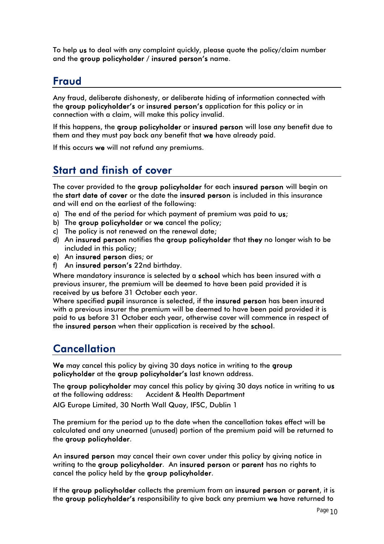To help us to deal with any complaint quickly, please quote the policy/claim number and the group policyholder / insured person's name.

# Fraud

Any fraud, deliberate dishonesty, or deliberate hiding of information connected with the group policyholder's or insured person's application for this policy or in connection with a claim, will make this policy invalid.

If this happens, the group policyholder or insured person will lose any benefit due to them and they must pay back any benefit that we have already paid.

If this occurs we will not refund any premiums.

## Start and finish of cover

The cover provided to the group policyholder for each insured person will begin on the start date of cover or the date the insured person is included in this insurance and will end on the earliest of the following:

- a) The end of the period for which payment of premium was paid to us;
- b) The group policyholder or we cancel the policy;
- c) The policy is not renewed on the renewal date;
- d) An insured person notifies the group policyholder that they no longer wish to be included in this policy;
- e) An insured person dies; or
- f) An insured person's 22nd birthday.

Where mandatory insurance is selected by a school which has been insured with a previous insurer, the premium will be deemed to have been paid provided it is received by us before 31 October each year.

Where specified pupil insurance is selected, if the insured person has been insured with a previous insurer the premium will be deemed to have been paid provided it is paid to us before 31 October each year, otherwise cover will commence in respect of the insured person when their application is received by the school.

### **Cancellation**

We may cancel this policy by giving 30 days notice in writing to the group policyholder at the group policyholder's last known address.

The group policyholder may cancel this policy by giving 30 days notice in writing to us at the following address: Accident & Health Department

AIG Europe Limited, 30 North Wall Quay, IFSC, Dublin 1

The premium for the period up to the date when the cancellation takes effect will be calculated and any unearned (unused) portion of the premium paid will be returned to the group policyholder.

An insured person may cancel their own cover under this policy by giving notice in writing to the group policyholder. An insured person or parent has no rights to cancel the policy held by the group policyholder.

If the group policyholder collects the premium from an insured person or parent, it is the group policyholder's responsibility to give back any premium we have returned to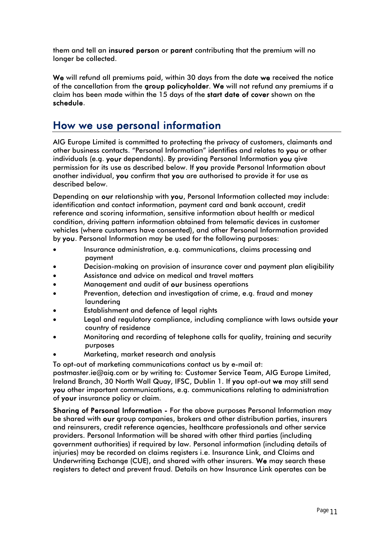them and tell an insured person or parent contributing that the premium will no longer be collected.

We will refund all premiums paid, within 30 days from the date we received the notice of the cancellation from the group policyholder. We will not refund any premiums if a claim has been made within the 15 days of the start date of cover shown on the schedule.

### How we use personal information

AIG Europe Limited is committed to protecting the privacy of customers, claimants and other business contacts. "Personal Information" identifies and relates to you or other individuals (e.g. your dependants). By providing Personal Information you give permission for its use as described below. If you provide Personal Information about another individual, you confirm that you are authorised to provide it for use as described below.

Depending on our relationship with you, Personal Information collected may include: identification and contact information, payment card and bank account, credit reference and scoring information, sensitive information about health or medical condition, driving pattern information obtained from telematic devices in customer vehicles (where customers have consented), and other Personal Information provided by you. Personal Information may be used for the following purposes:

- Insurance administration, e.g. communications, claims processing and payment
- Decision-making on provision of insurance cover and payment plan eligibility
- Assistance and advice on medical and travel matters
- Management and audit of our business operations
- Prevention, detection and investigation of crime, e.g. fraud and money laundering
- Establishment and defence of legal rights
- Legal and regulatory compliance, including compliance with laws outside your country of residence
- Monitoring and recording of telephone calls for quality, training and security purposes
- Marketing, market research and analysis

To opt-out of marketing communications contact us by e-mail at:

postmaster.ie@aig.com or by writing to: Customer Service Team, AIG Europe Limited, Ireland Branch, 30 North Wall Quay, IFSC, Dublin 1. If you opt-out we may still send you other important communications, e.g. communications relating to administration of your insurance policy or claim.

Sharing of Personal Information - For the above purposes Personal Information may be shared with our group companies, brokers and other distribution parties, insurers and reinsurers, credit reference agencies, healthcare professionals and other service providers. Personal Information will be shared with other third parties (including government authorities) if required by law. Personal information (including details of injuries) may be recorded on claims registers i.e. Insurance Link, and Claims and Underwriting Exchange (CUE), and shared with other insurers. We may search these registers to detect and prevent fraud. Details on how Insurance Link operates can be